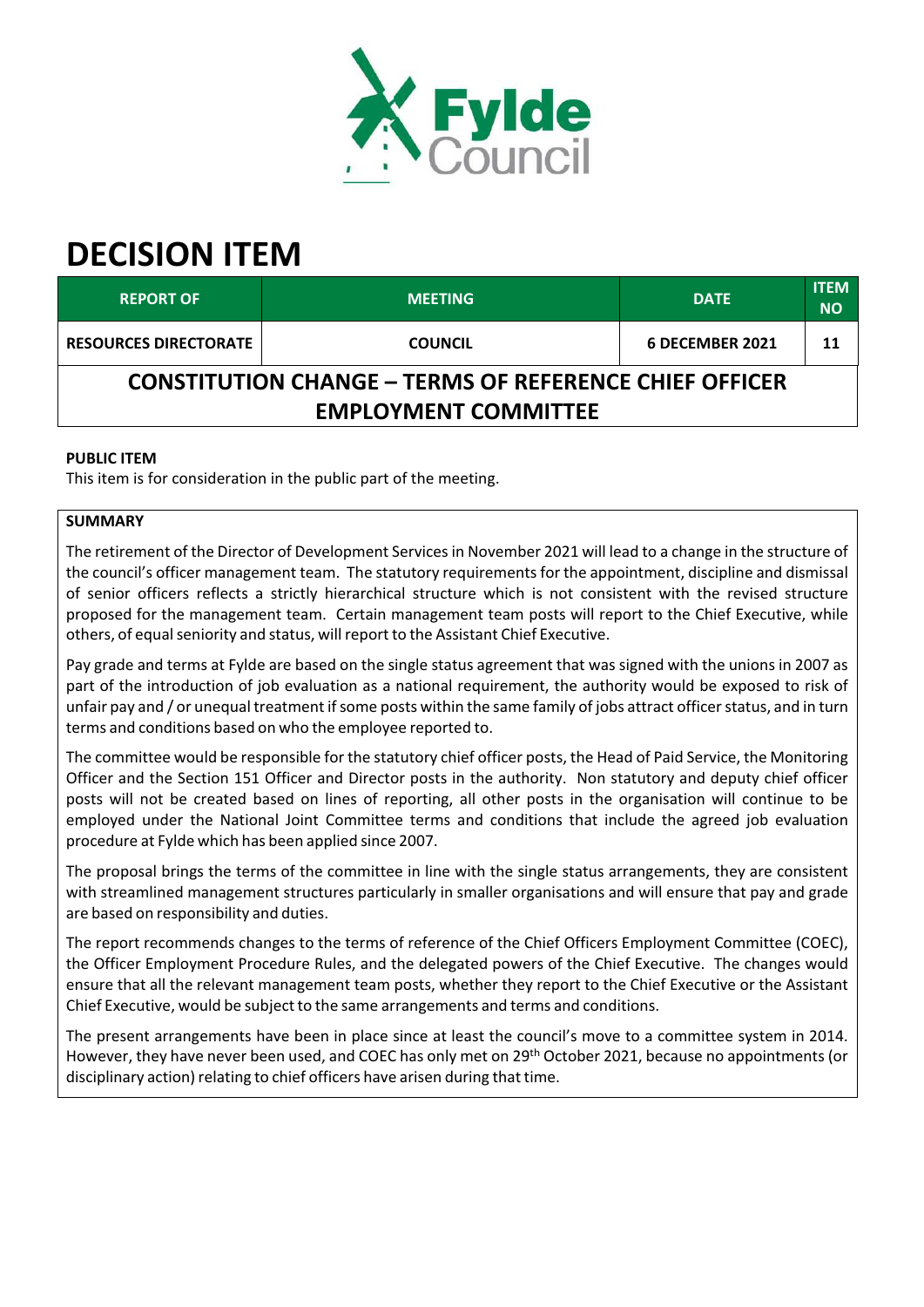

# **DECISION ITEM**

| <b>REPORT OF</b>                                                                             | <b>MEETING</b> | <b>DATE</b>     | <b>ITEM</b><br><b>NO</b> |  |  |  |
|----------------------------------------------------------------------------------------------|----------------|-----------------|--------------------------|--|--|--|
| <b>RESOURCES DIRECTORATE</b>                                                                 | <b>COUNCIL</b> | 6 DECEMBER 2021 | 11                       |  |  |  |
| <b>CONSTITUTION CHANGE – TERMS OF REFERENCE CHIEF OFFICER</b><br><b>EMPLOYMENT COMMITTEE</b> |                |                 |                          |  |  |  |

# **PUBLIC ITEM**

This item is for consideration in the public part of the meeting.

# **SUMMARY**

The retirement of the Director of Development Servicesin November 2021 will lead to a change in the structure of the council's officer management team. The statutory requirementsfor the appointment, discipline and dismissal of senior officers reflects a strictly hierarchical structure which is not consistent with the revised structure proposed for the management team. Certain management team posts will report to the Chief Executive, while others, of equal seniority and status, will report to the Assistant Chief Executive.

Pay grade and terms at Fylde are based on the single status agreement that was signed with the unions in 2007 as part of the introduction of job evaluation as a national requirement, the authority would be exposed to risk of unfair pay and / or unequal treatment if some posts within the same family of jobs attract officer status, and in turn terms and conditions based on who the employee reported to.

The committee would be responsible for the statutory chief officer posts, the Head of Paid Service, the Monitoring Officer and the Section 151 Officer and Director posts in the authority. Non statutory and deputy chief officer posts will not be created based on lines of reporting, all other posts in the organisation will continue to be employed under the National Joint Committee terms and conditions that include the agreed job evaluation procedure at Fylde which has been applied since 2007.

The proposal brings the terms of the committee in line with the single status arrangements, they are consistent with streamlined management structures particularly in smaller organisations and will ensure that pay and grade are based on responsibility and duties.

The report recommends changes to the terms of reference of the Chief Officers Employment Committee (COEC), the Officer Employment Procedure Rules, and the delegated powers of the Chief Executive. The changes would ensure that all the relevant management team posts, whether they report to the Chief Executive or the Assistant Chief Executive, would be subject to the same arrangements and terms and conditions.

The present arrangements have been in place since at least the council's move to a committee system in 2014. However, they have never been used, and COEC has only met on 29<sup>th</sup> October 2021, because no appointments (or disciplinary action) relating to chief officers have arisen during that time.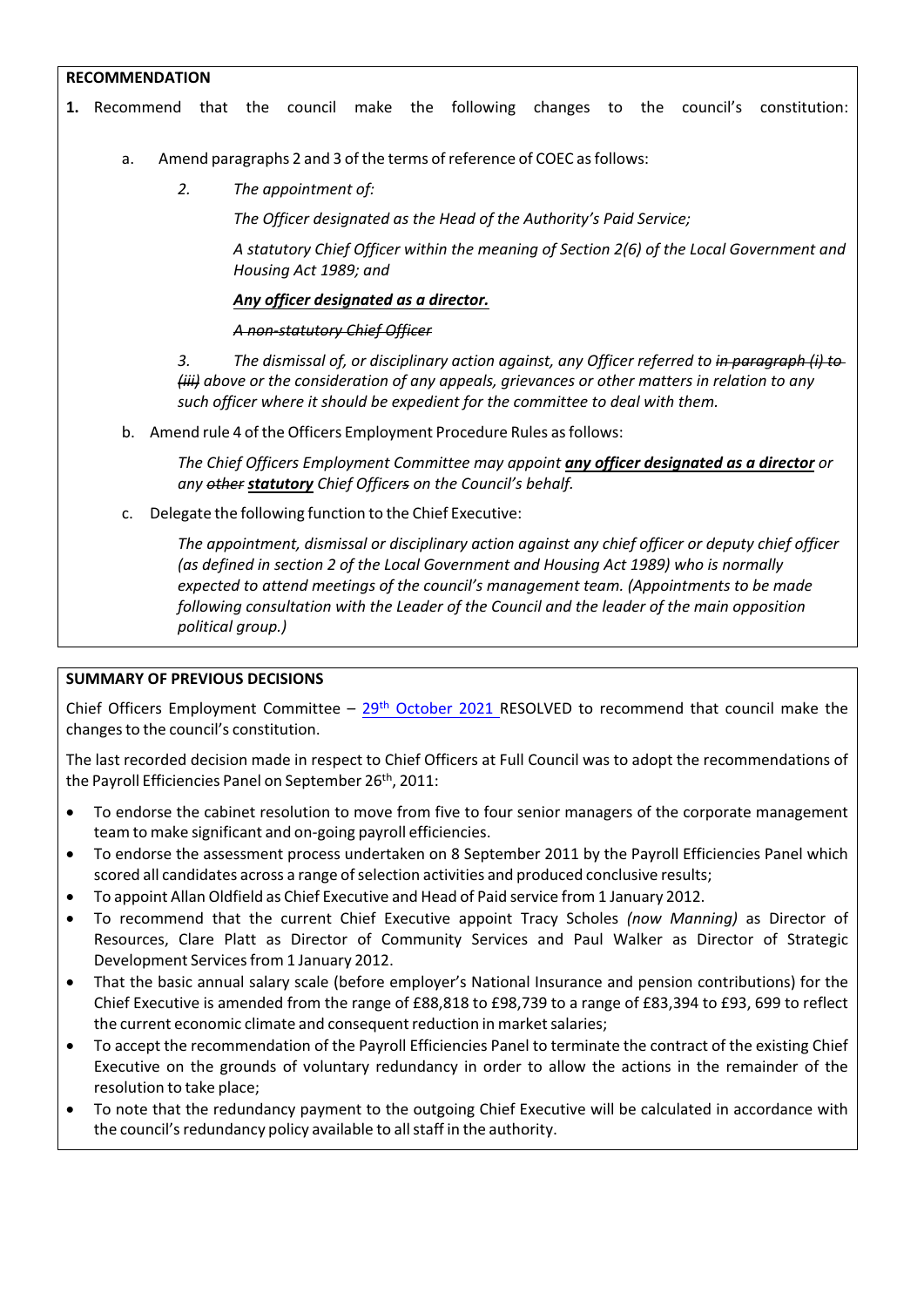## **RECOMMENDATION**

- **1.** Recommend that the council make the following changes to the council's constitution:
	- a. Amend paragraphs 2 and 3 of the terms of reference of COEC as follows:
		- *2. The appointment of:*

*The Officer designated as the Head of the Authority's Paid Service;*

*A statutory Chief Officer within the meaning of Section 2(6) of the Local Government and Housing Act 1989; and*

#### *Any officer designated as a director.*

#### *A non‐statutory Chief Officer*

*3. The dismissal of, or disciplinary action against, any Officer referred to in paragraph (i) to (iii) above or the consideration of any appeals, grievances or other matters in relation to any such officer where it should be expedient for the committee to deal with them.*

b. Amend rule 4 of the Officers Employment Procedure Rules as follows:

*The Chief Officers Employment Committee may appoint any officer designated as a director or any other statutory Chief Officers on the Council's behalf.*

c. Delegate the following function to the Chief Executive:

*The appointment, dismissal or disciplinary action against any chief officer or deputy chief officer (as defined in section 2 of the Local Government and Housing Act 1989) who is normally expected to attend meetings of the council's management team. (Appointments to be made following consultation with the Leader of the Council and the leader of the main opposition political group.)*

#### **SUMMARY OF PREVIOUS DECISIONS**

Chief Officers Employment Committee – [29](https://fylde.cmis.uk.com/fylde/MeetingsCalendar/tabid/70/ctl/ViewMeetingPublic/mid/397/Meeting/1337/Committee/24/Default.aspx)<sup>[th](https://fylde.cmis.uk.com/fylde/MeetingsCalendar/tabid/70/ctl/ViewMeetingPublic/mid/397/Meeting/1337/Committee/24/Default.aspx)</sup> [October](https://fylde.cmis.uk.com/fylde/MeetingsCalendar/tabid/70/ctl/ViewMeetingPublic/mid/397/Meeting/1337/Committee/24/Default.aspx) 2021 RESOLVED to recommend that council make the changesto the council's constitution.

The last recorded decision made in respect to Chief Officers at Full Council was to adopt the recommendations of the Payroll Efficiencies Panel on September 26<sup>th</sup>, 2011:

- To endorse the cabinet resolution to move from five to four senior managers of the corporate management team to make significant and on‐going payroll efficiencies.
- To endorse the assessment process undertaken on 8 September 2011 by the Payroll Efficiencies Panel which scored all candidates across a range of selection activities and produced conclusive results;
- To appoint Allan Oldfield as Chief Executive and Head of Paid service from 1 January 2012.
- To recommend that the current Chief Executive appoint Tracy Scholes *(now Manning)* as Director of Resources, Clare Platt as Director of Community Services and Paul Walker as Director of Strategic Development Servicesfrom 1 January 2012.
- That the basic annual salary scale (before employer's National Insurance and pension contributions) for the Chief Executive is amended from the range of £88,818 to £98,739 to a range of £83,394 to £93, 699 to reflect the current economic climate and consequent reduction in market salaries;
- To accept the recommendation of the Payroll Efficiencies Panel to terminate the contract of the existing Chief Executive on the grounds of voluntary redundancy in order to allow the actions in the remainder of the resolution to take place;
- To note that the redundancy payment to the outgoing Chief Executive will be calculated in accordance with the council's redundancy policy available to all staff in the authority.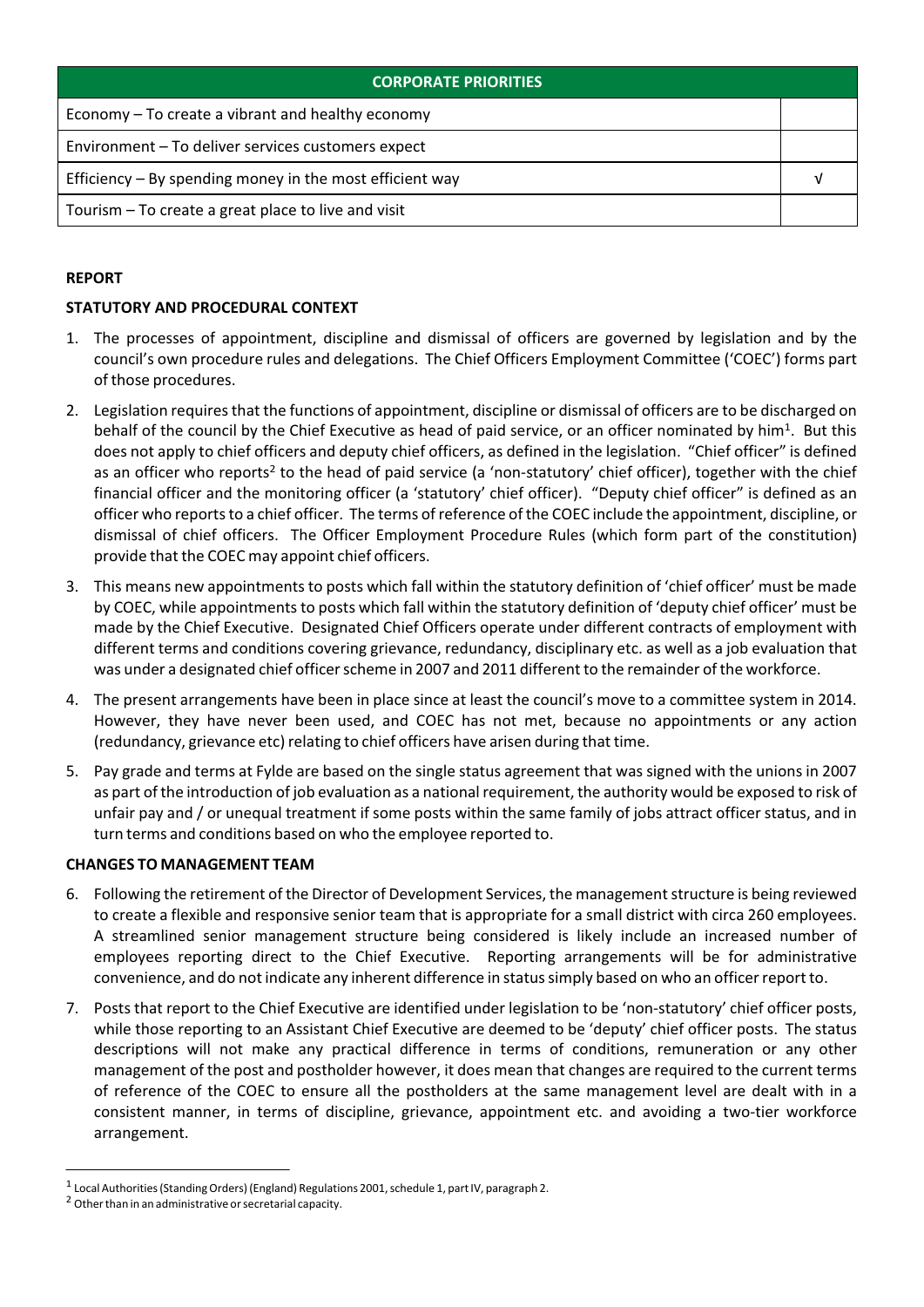| <b>CORPORATE PRIORITIES</b>                                |  |  |
|------------------------------------------------------------|--|--|
| Economy – To create a vibrant and healthy economy          |  |  |
| Environment - To deliver services customers expect         |  |  |
| Efficiency $-$ By spending money in the most efficient way |  |  |
| Tourism – To create a great place to live and visit        |  |  |

## **REPORT**

## **STATUTORY AND PROCEDURAL CONTEXT**

- 1. The processes of appointment, discipline and dismissal of officers are governed by legislation and by the council's own procedure rules and delegations. The Chief Officers Employment Committee ('COEC') forms part of those procedures.
- 2. Legislation requires that the functions of appointment, discipline or dismissal of officers are to be discharged on behalf of the council by the Chief Executive as head of paid service, or an officer nominated by him<sup>1</sup>. But this does not apply to chief officers and deputy chief officers, as defined in the legislation. "Chief officer" is defined as an officer who reports<sup>2</sup> to the head of paid service (a 'non-statutory' chief officer), together with the chief financial officer and the monitoring officer (a 'statutory' chief officer). "Deputy chief officer" is defined as an officer who reportsto a chief officer. The terms ofreference of the COEC include the appointment, discipline, or dismissal of chief officers. The Officer Employment Procedure Rules (which form part of the constitution) provide that the COEC may appoint chief officers.
- 3. This means new appointments to posts which fall within the statutory definition of 'chief officer' must be made by COEC, while appointments to posts which fall within the statutory definition of 'deputy chief officer' must be made by the Chief Executive. Designated Chief Officers operate under different contracts of employment with different terms and conditions covering grievance, redundancy, disciplinary etc. as well as a job evaluation that was under a designated chief officer scheme in 2007 and 2011 different to the remainder of the workforce.
- 4. The present arrangements have been in place since at least the council's move to a committee system in 2014. However, they have never been used, and COEC has not met, because no appointments or any action (redundancy, grievance etc) relating to chief officers have arisen during that time.
- 5. Pay grade and terms at Fylde are based on the single status agreement that was signed with the unions in 2007 as part of the introduction of job evaluation as a national requirement, the authority would be exposed to risk of unfair pay and / or unequal treatment if some posts within the same family of jobs attract officer status, and in turn terms and conditions based on who the employee reported to.

## **CHANGES TO MANAGEMENT TEAM**

- 6. Following the retirement of the Director of Development Services, the management structure is being reviewed to create a flexible and responsive senior team that is appropriate for a small district with circa 260 employees. A streamlined senior management structure being considered is likely include an increased number of employees reporting direct to the Chief Executive. Reporting arrangements will be for administrative convenience, and do not indicate any inherent difference in status simply based on who an officer report to.
- 7. Posts that report to the Chief Executive are identified under legislation to be 'non‐statutory' chief officer posts, while those reporting to an Assistant Chief Executive are deemed to be 'deputy' chief officer posts. The status descriptions will not make any practical difference in terms of conditions, remuneration or any other management of the post and postholder however, it does mean that changes are required to the current terms of reference of the COEC to ensure all the postholders at the same management level are dealt with in a consistent manner, in terms of discipline, grievance, appointment etc. and avoiding a two‐tier workforce arrangement.

 $^{\text{1}}$  Local Authorities (Standing Orders) (England) Regulations 2001, schedule 1, part IV, paragraph 2.

 $2$  Other than in an administrative or secretarial capacity.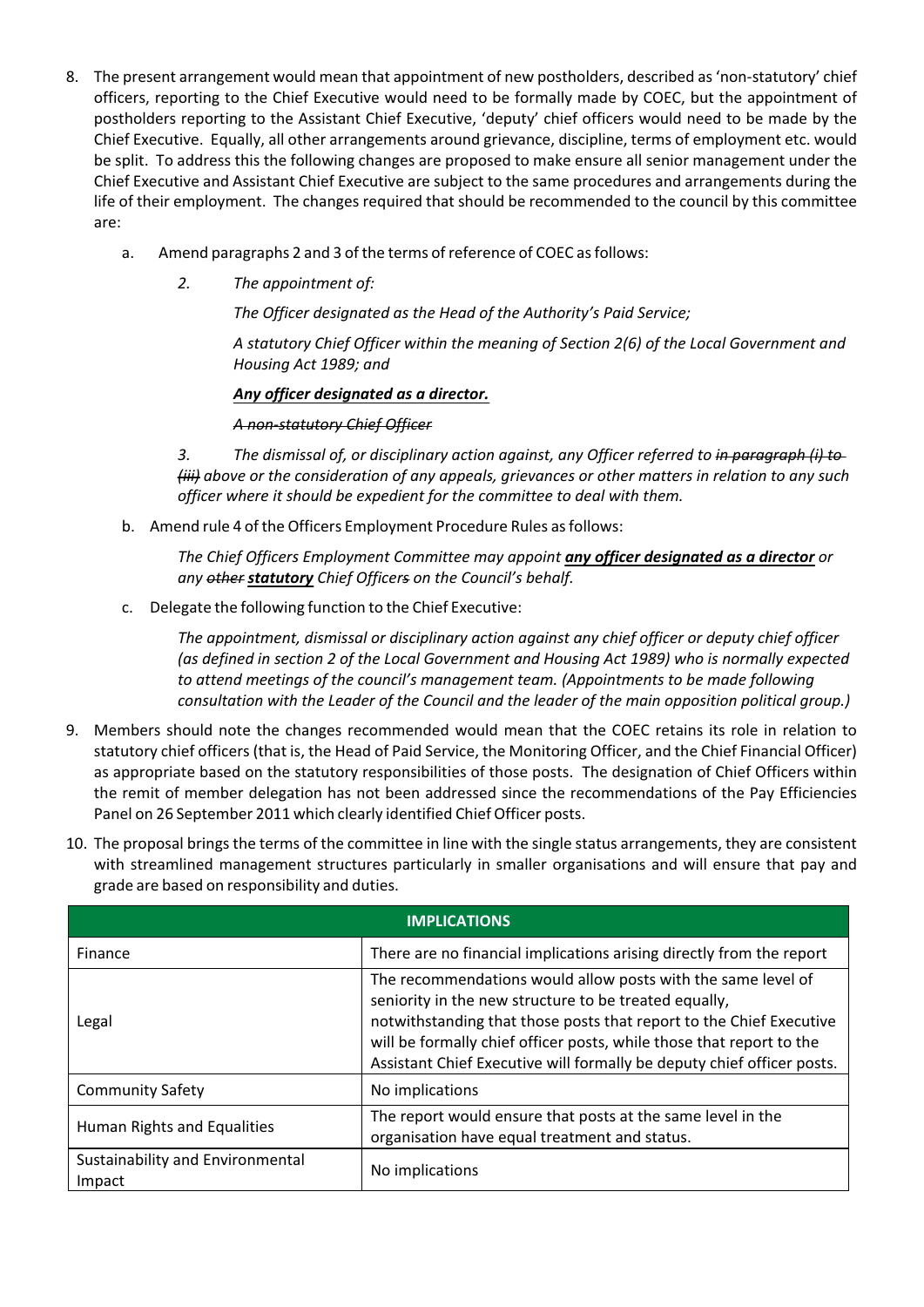- 8. The present arrangement would mean that appointment of new postholders, described as 'non-statutory' chief officers, reporting to the Chief Executive would need to be formally made by COEC, but the appointment of postholders reporting to the Assistant Chief Executive, 'deputy' chief officers would need to be made by the Chief Executive. Equally, all other arrangements around grievance, discipline, terms of employment etc. would be split. To address this the following changes are proposed to make ensure all senior management under the Chief Executive and Assistant Chief Executive are subject to the same procedures and arrangements during the life of their employment. The changes required that should be recommended to the council by this committee are:
	- a. Amend paragraphs 2 and 3 of the terms of reference of COEC as follows:
		- *2. The appointment of:*

*The Officer designated as the Head of the Authority's Paid Service;*

*A statutory Chief Officer within the meaning of Section 2(6) of the Local Government and Housing Act 1989; and*

## *Any officer designated as a director.*

#### *A non‐statutory Chief Officer*

*3. The dismissal of, or disciplinary action against, any Officer referred to in paragraph (i) to (iii) above or the consideration of any appeals, grievances or other matters in relation to any such officer where it should be expedient for the committee to deal with them.*

b. Amend rule 4 of the Officers Employment Procedure Rules asfollows:

*The Chief Officers Employment Committee may appoint any officer designated as a director or any other statutory Chief Officers on the Council's behalf.*

c. Delegate the following function to the Chief Executive:

*The appointment, dismissal or disciplinary action against any chief officer or deputy chief officer (as defined in section 2 of the Local Government and Housing Act 1989) who is normally expected to attend meetings of the council's management team. (Appointments to be made following consultation with the Leader of the Council and the leader of the main opposition political group.)*

- 9. Members should note the changes recommended would mean that the COEC retains its role in relation to statutory chief officers(that is, the Head of Paid Service, the Monitoring Officer, and the Chief Financial Officer) as appropriate based on the statutory responsibilities of those posts. The designation of Chief Officers within the remit of member delegation has not been addressed since the recommendations of the Pay Efficiencies Panel on 26 September 2011 which clearly identified Chief Officer posts.
- 10. The proposal brings the terms of the committee in line with the single status arrangements, they are consistent with streamlined management structures particularly in smaller organisations and will ensure that pay and grade are based on responsibility and duties.

| <b>IMPLICATIONS</b>                        |                                                                                                                                                                                                                                                                                                                                                |  |  |
|--------------------------------------------|------------------------------------------------------------------------------------------------------------------------------------------------------------------------------------------------------------------------------------------------------------------------------------------------------------------------------------------------|--|--|
| Finance                                    | There are no financial implications arising directly from the report                                                                                                                                                                                                                                                                           |  |  |
| Legal                                      | The recommendations would allow posts with the same level of<br>seniority in the new structure to be treated equally,<br>notwithstanding that those posts that report to the Chief Executive<br>will be formally chief officer posts, while those that report to the<br>Assistant Chief Executive will formally be deputy chief officer posts. |  |  |
| <b>Community Safety</b>                    | No implications                                                                                                                                                                                                                                                                                                                                |  |  |
| Human Rights and Equalities                | The report would ensure that posts at the same level in the<br>organisation have equal treatment and status.                                                                                                                                                                                                                                   |  |  |
| Sustainability and Environmental<br>Impact | No implications                                                                                                                                                                                                                                                                                                                                |  |  |